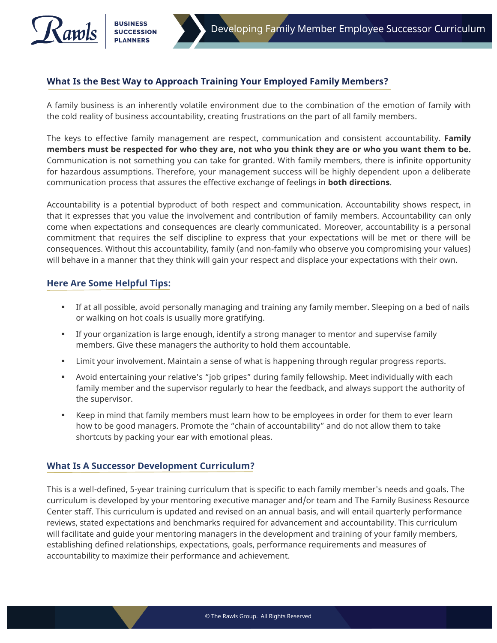## **What Is the Best Way to Approach Training Your Employed Family Members?**

A family business is an inherently volatile environment due to the combination of the emotion of family with the cold reality of business accountability, creating frustrations on the part of all family members.

The keys to effective family management are respect, communication and consistent accountability. **Family members must be respected for who they are, not who you think they are or who you want them to be.** Communication is not something you can take for granted. With family members, there is infinite opportunity for hazardous assumptions. Therefore, your management success will be highly dependent upon a deliberate communication process that assures the effective exchange of feelings in **both directions**.

Accountability is a potential byproduct of both respect and communication. Accountability shows respect, in that it expresses that you value the involvement and contribution of family members. Accountability can only come when expectations and consequences are clearly communicated. Moreover, accountability is a personal commitment that requires the self discipline to express that your expectations will be met or there will be consequences. Without this accountability, family (and non-family who observe you compromising your values) will behave in a manner that they think will gain your respect and displace your expectations with their own.

## **Here Are Some Helpful Tips:**

- If at all possible, avoid personally managing and training any family member. Sleeping on a bed of nails or walking on hot coals is usually more gratifying.
- **EXED** If your organization is large enough, identify a strong manager to mentor and supervise family members. Give these managers the authority to hold them accountable.
- **EXECT LIMIT YOU AT A LIMIT VALUTA** in A sense of what is happening through regular progress reports.
- Avoid entertaining your relative's "job gripes" during family fellowship. Meet individually with each family member and the supervisor regularly to hear the feedback, and always support the authority of the supervisor.
- Keep in mind that family members must learn how to be employees in order for them to ever learn how to be good managers. Promote the "chain of accountability" and do not allow them to take shortcuts by packing your ear with emotional pleas.

## **What Is A Successor Development Curriculum?**

This is a well-defined, 5-year training curriculum that is specific to each family member's needs and goals. The curriculum is developed by your mentoring executive manager and/or team and The Family Business Resource Center staff. This curriculum is updated and revised on an annual basis, and will entail quarterly performance reviews, stated expectations and benchmarks required for advancement and accountability. This curriculum will facilitate and guide your mentoring managers in the development and training of your family members, establishing defined relationships, expectations, goals, performance requirements and measures of accountability to maximize their performance and achievement.